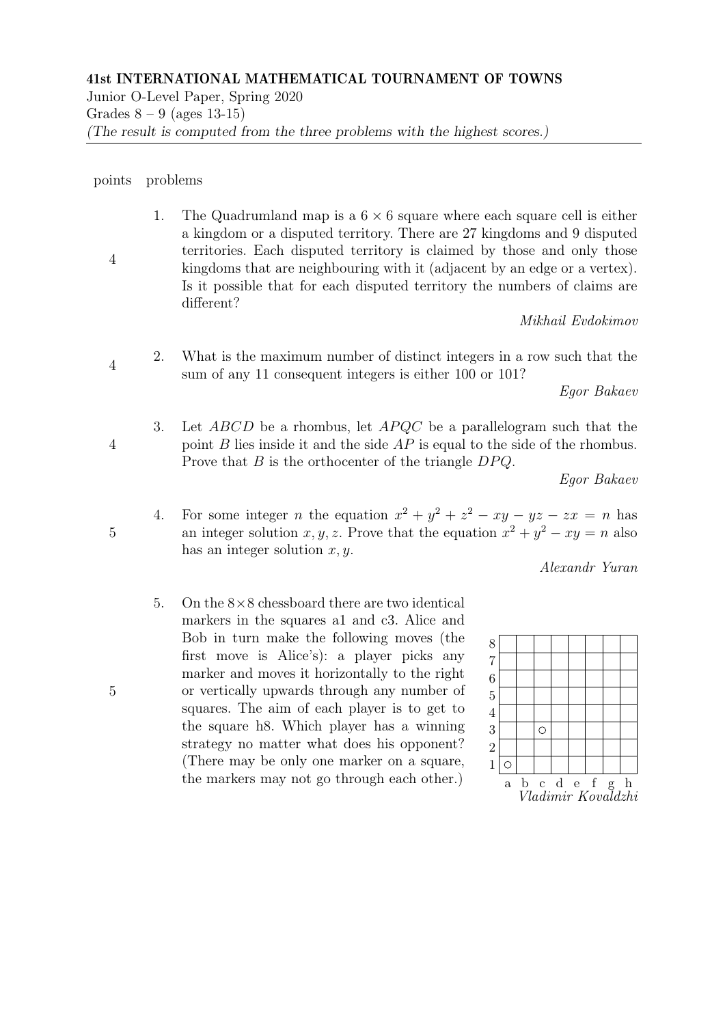Junior O-Level Paper, Spring 2020 Grades  $8 - 9$  (ages 13-15) (The result is computed from the three problems with the highest scores.)

## points problems

4 1. The Quadrumland map is a  $6 \times 6$  square where each square cell is either a kingdom or a disputed territory. There are 27 kingdoms and 9 disputed territories. Each disputed territory is claimed by those and only those kingdoms that are neighbouring with it (adjacent by an edge or a vertex). Is it possible that for each disputed territory the numbers of claims are different?

Mikhail Evdokimov

4 2. What is the maximum number of distinct integers in a row such that the sum of any 11 consequent integers is either 100 or 101?

Egor Bakaev

3. Let  $ABCD$  be a rhombus, let  $APQC$  be a parallelogram such that the point B lies inside it and the side  $AP$  is equal to the side of the rhombus. Prove that  $B$  is the orthocenter of the triangle  $DPQ$ .

Egor Bakaev

4. For some integer *n* the equation  $x^2 + y^2 + z^2 - xy - yz - zx = n$  has an integer solution x, y, z. Prove that the equation  $x^2 + y^2 - xy = n$  also has an integer solution  $x, y$ .

Alexandr Yuran

5. On the  $8\times 8$  chessboard there are two identical markers in the squares a1 and c3. Alice and Bob in turn make the following moves (the first move is Alice's): a player picks any marker and moves it horizontally to the right or vertically upwards through any number of squares. The aim of each player is to get to the square h8. Which player has a winning strategy no matter what does his opponent? (There may be only one marker on a square, the markers may not go through each other.)

| $\frac{8}{7}$  |                                            |  |   |           |  |  |  |  |
|----------------|--------------------------------------------|--|---|-----------|--|--|--|--|
| $\overline{6}$ |                                            |  |   |           |  |  |  |  |
| $\overline{5}$ |                                            |  |   |           |  |  |  |  |
| $\overline{4}$ |                                            |  |   |           |  |  |  |  |
| $\frac{3}{2}$  |                                            |  | ◯ |           |  |  |  |  |
|                |                                            |  |   |           |  |  |  |  |
| $\overline{1}$ | ∩                                          |  |   |           |  |  |  |  |
|                | $\mathbf{a}$                               |  |   | b c d e f |  |  |  |  |
|                | b c d e f g h<br><i>Vladimir Kovaldzhi</i> |  |   |           |  |  |  |  |

5

5

4